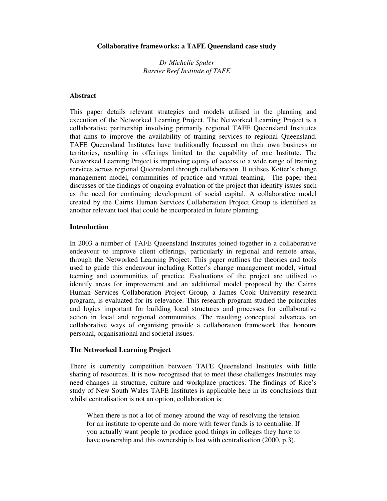### **Collaborative frameworks: a TAFE Queensland case study**

*Dr Michelle Spuler Barrier Reef Institute of TAFE*

### **Abstract**

This paper details relevant strategies and models utilised in the planning and execution of the Networked Learning Project. The Networked Learning Project is a collaborative partnership involving primarily regional TAFE Queensland Institutes that aims to improve the availability of training services to regional Queensland. TAFE Queensland Institutes have traditionally focussed on their own business or territories, resulting in offerings limited to the capability of one Institute. The Networked Learning Project is improving equity of access to a wide range of training services across regional Queensland through collaboration. It utilises Kotter's change management model, communities of practice and vritual teaming. The paper then discusses of the findings of ongoing evaluation of the project that identify issues such as the need for continuing development of social capital. A collaborative model created by the Cairns Human Services Collaboration Project Group is identified as another relevant tool that could be incorporated in future planning.

### **Introduction**

In 2003 a number of TAFE Queensland Institutes joined together in a collaborative endeavour to improve client offerings, particularly in regional and remote areas, through the Networked Learning Project. This paper outlines the theories and tools used to guide this endeavour including Kotter's change management model, virtual teeming and communities of practice. Evaluations of the project are utilised to identify areas for improvement and an additional model proposed by the Cairns Human Services Collaboration Project Group, a James Cook University research program, is evaluated for its relevance. This research program studied the principles and logics important for building local structures and processes for collaborative action in local and regional communities. The resulting conceptual advances on collaborative ways of organising provide a collaboration framework that honours personal, organisational and societal issues.

### **The Networked Learning Project**

There is currently competition between TAFE Queensland Institutes with little sharing of resources. It is now recognised that to meet these challenges Institutes may need changes in structure, culture and workplace practices. The findings of Rice's study of New South Wales TAFE Institutes is applicable here in its conclusions that whilst centralisation is not an option, collaboration is:

When there is not a lot of money around the way of resolving the tension for an institute to operate and do more with fewer funds is to centralise. If you actually want people to produce good things in colleges they have to have ownership and this ownership is lost with centralisation (2000, p.3).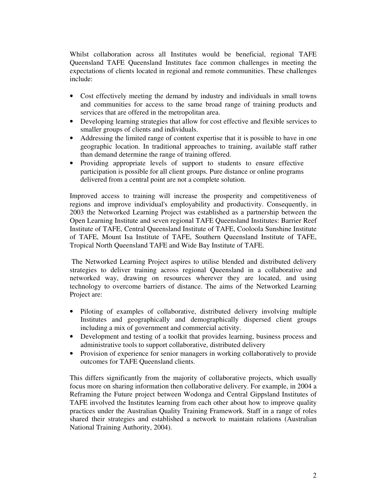Whilst collaboration across all Institutes would be beneficial, regional TAFE Queensland TAFE Queensland Institutes face common challenges in meeting the expectations of clients located in regional and remote communities. These challenges include:

- Cost effectively meeting the demand by industry and individuals in small towns and communities for access to the same broad range of training products and services that are offered in the metropolitan area.
- Developing learning strategies that allow for cost effective and flexible services to smaller groups of clients and individuals.
- Addressing the limited range of content expertise that it is possible to have in one geographic location. In traditional approaches to training, available staff rather than demand determine the range of training offered.
- Providing appropriate levels of support to students to ensure effective participation is possible for all client groups. Pure distance or online programs delivered from a central point are not a complete solution.

Improved access to training will increase the prosperity and competitiveness of regions and improve individual's employability and productivity. Consequently, in 2003 the Networked Learning Project was established as a partnership between the Open Learning Institute and seven regional TAFE Queensland Institutes: Barrier Reef Institute of TAFE, Central Queensland Institute of TAFE, Cooloola Sunshine Institute of TAFE, Mount Isa Institute of TAFE, Southern Queensland Institute of TAFE, Tropical North Queensland TAFE and Wide Bay Institute of TAFE.

The Networked Learning Project aspires to utilise blended and distributed delivery strategies to deliver training across regional Queensland in a collaborative and networked way, drawing on resources wherever they are located, and using technology to overcome barriers of distance. The aims of the Networked Learning Project are:

- Piloting of examples of collaborative, distributed delivery involving multiple Institutes and geographically and demographically dispersed client groups including a mix of government and commercial activity.
- Development and testing of a toolkit that provides learning, business process and administrative tools to support collaborative, distributed delivery
- Provision of experience for senior managers in working collaboratively to provide outcomes for TAFE Queensland clients.

This differs significantly from the majority of collaborative projects, which usually focus more on sharing information then collaborative delivery. For example, in 2004 a Reframing the Future project between Wodonga and Central Gippsland Institutes of TAFE involved the Institutes learning from each other about how to improve quality practices under the Australian Quality Training Framework. Staff in a range of roles shared their strategies and established a network to maintain relations (Australian National Training Authority, 2004).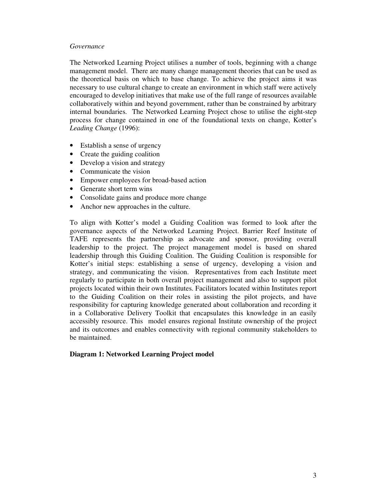## *Governance*

The Networked Learning Project utilises a number of tools, beginning with a change management model. There are many change management theories that can be used as the theoretical basis on which to base change. To achieve the project aims it was necessary to use cultural change to create an environment in which staff were actively encouraged to develop initiatives that make use of the full range of resources available collaboratively within and beyond government, rather than be constrained by arbitrary internal boundaries. The Networked Learning Project chose to utilise the eight-step process for change contained in one of the foundational texts on change, Kotter's *Leading Change* (1996):

- Establish a sense of urgency
- Create the guiding coalition
- Develop a vision and strategy
- Communicate the vision
- Empower employees for broad-based action
- Generate short term wins
- Consolidate gains and produce more change
- Anchor new approaches in the culture.

To align with Kotter's model a Guiding Coalition was formed to look after the governance aspects of the Networked Learning Project. Barrier Reef Institute of TAFE represents the partnership as advocate and sponsor, providing overall leadership to the project. The project management model is based on shared leadership through this Guiding Coalition. The Guiding Coalition is responsible for Kotter's initial steps: establishing a sense of urgency, developing a vision and strategy, and communicating the vision. Representatives from each Institute meet regularly to participate in both overall project management and also to support pilot projects located within their own Institutes. Facilitators located within Institutes report to the Guiding Coalition on their roles in assisting the pilot projects, and have responsibility for capturing knowledge generated about collaboration and recording it in a Collaborative Delivery Toolkit that encapsulates this knowledge in an easily accessibly resource. This model ensures regional Institute ownership of the project and its outcomes and enables connectivity with regional community stakeholders to be maintained.

# **Diagram 1: Networked Learning Project model**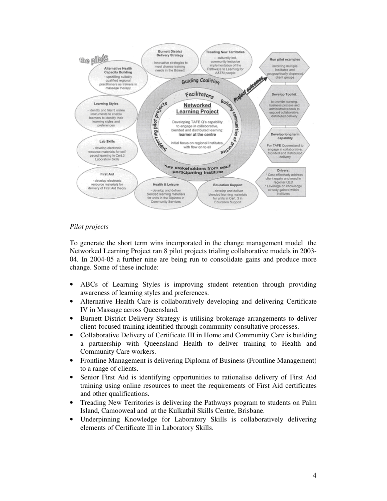

# *Pilot projects*

To generate the short term wins incorporated in the change management model the Networked Learning Project ran 8 pilot projects trialing collaborative models in 2003- 04. In 2004-05 a further nine are being run to consolidate gains and produce more change. Some of these include:

- ABCs of Learning Styles is improving student retention through providing awareness of learning styles and preferences.
- Alternative Health Care is collaboratively developing and delivering Certificate IV in Massage across Queensland.
- Burnett District Delivery Strategy is utilising brokerage arrangements to deliver client-focused training identified through community consultative processes.
- Collaborative Delivery of Certificate III in Home and Community Care is building a partnership with Queensland Health to deliver training to Health and Community Care workers.
- Frontline Management is delivering Diploma of Business (Frontline Management) to a range of clients.
- Senior First Aid is identifying opportunities to rationalise delivery of First Aid training using online resources to meet the requirements of First Aid certificates and other qualifications.
- Treading New Territories is delivering the Pathways program to students on Palm Island, Camooweal and at the Kulkathil Skills Centre, Brisbane.
- Underpinning Knowledge for Laboratory Skills is collaboratively delivering elements of Certificate lll in Laboratory Skills.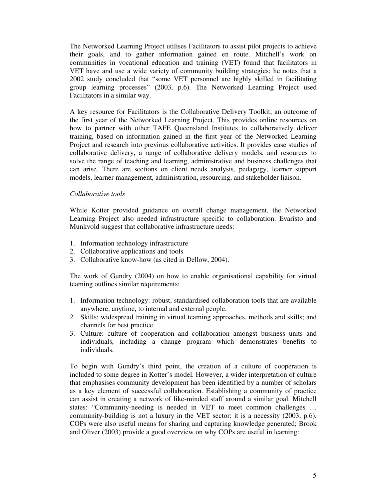The Networked Learning Project utilises Facilitators to assist pilot projects to achieve their goals, and to gather information gained en route. Mitchell's work on communities in vocational education and training (VET) found that facilitators in VET have and use a wide variety of community building strategies; he notes that a 2002 study concluded that "some VET personnel are highly skilled in facilitating group learning processes" (2003, p.6). The Networked Learning Project used Facilitators in a similar way.

A key resource for Facilitators is the Collaborative Delivery Toolkit, an outcome of the first year of the Networked Learning Project. This provides online resources on how to partner with other TAFE Queensland Institutes to collaboratively deliver training, based on information gained in the first year of the Networked Learning Project and research into previous collaborative activities. It provides case studies of collaborative delivery, a range of collaborative delivery models, and resources to solve the range of teaching and learning, administrative and business challenges that can arise. There are sections on client needs analysis, pedagogy, learner support models, learner management, administration, resourcing, and stakeholder liaison.

## *Collaborative tools*

While Kotter provided guidance on overall change management, the Networked Learning Project also needed infrastructure specific to collaboration. Evaristo and Munkvold suggest that collaborative infrastructure needs:

- 1. Information technology infrastructure
- 2. Collaborative applications and tools
- 3. Collaborative know-how (as cited in Dellow, 2004).

The work of Gundry (2004) on how to enable organisational capability for virtual teaming outlines similar requirements:

- 1. Information technology: robust, standardised collaboration tools that are available anywhere, anytime, to internal and external people.
- 2. Skills: widespread training in virtual teaming approaches, methods and skills; and channels for best practice.
- 3. Culture: culture of cooperation and collaboration amongst business units and individuals, including a change program which demonstrates benefits to individuals.

To begin with Gundry's third point, the creation of a culture of cooperation is included to some degree in Kotter's model. However, a wider interpretation of culture that emphasises community development has been identified by a number of scholars as a key element of successful collaboration. Establishing a community of practice can assist in creating a network of like-minded staff around a similar goal. Mitchell states: "Community-needing is needed in VET to meet common challenges … community-building is not a luxury in the VET sector: it is a necessity (2003, p.6). COPs were also useful means for sharing and capturing knowledge generated; Brook and Oliver (2003) provide a good overview on why COPs are useful in learning: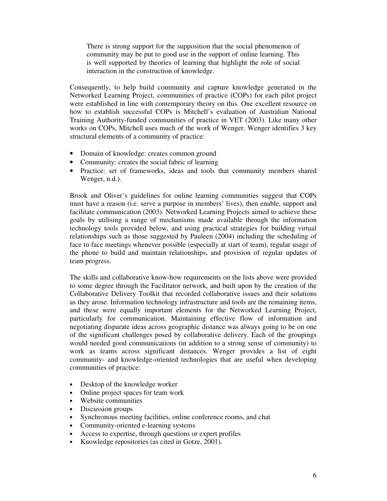There is strong support for the supposition that the social phenomenon of community may be put to good use in the support of online learning. This is well supported by theories of learning that highlight the role of social interaction in the construction of knowledge.

Consequently, to help build community and capture knowledge generated in the Networked Learning Project, communities of practice (COPs) for each pilot project were established in line with contemporary theory on this. One excellent resource on how to establish successful COPs is Mitchell's evaluation of Australian National Training Authority-funded communities of practice in VET (2003). Like many other works on COPs, Mitchell uses much of the work of Wenger. Wenger identifies 3 key structural elements of a community of practice:

- Domain of knowledge: creates common ground
- Community: creates the social fabric of learning
- Practice: set of frameworks, ideas and tools that community members shared Wenger, n.d.).

Brook and Oliver's guidelines for online learning communities suggest that COPs must have a reason (i.e. serve a purpose in members' lives), then enable, support and facilitate communication (2003). Networked Learning Projects aimed to achieve these goals by utilising a range of mechanisms made available through the information technology tools provided below, and using practical strategies for building virtual relationships such as those suggested by Pauleen (2004) including the scheduling of face to face meetings whenever possible (especially at start of team), regular usage of the phone to build and maintain relationships, and provision of regular updates of team progress.

The skills and collaborative know-how requirements on the lists above were provided to some degree through the Facilitator network, and built upon by the creation of the Collaborative Delivery Toolkit that recorded collaborative issues and their solutions as they arose. Information technology infrastructure and tools are the remaining items, and these were equally important elements for the Networked Learning Project, particularly for communication. Maintaining effective flow of information and negotiating disparate ideas across geographic distance was always going to be on one of the significant challenges posed by collaborative delivery. Each of the groupings would needed good communications (in addition to a strong sense of community) to work as teams across significant distances. Wenger provides a list of eight community- and knowledge-oriented technologies that are useful when developing communities of practice:

- Desktop of the knowledge worker
- Online project spaces for team work
- Website communities
- Discussion groups
- Synchronous meeting facilities, online conference rooms, and chat
- Community-oriented e-learning systems
- Access to expertise, through questions or expert profiles
- Knowledge repositories (as cited in Gotze, 2001).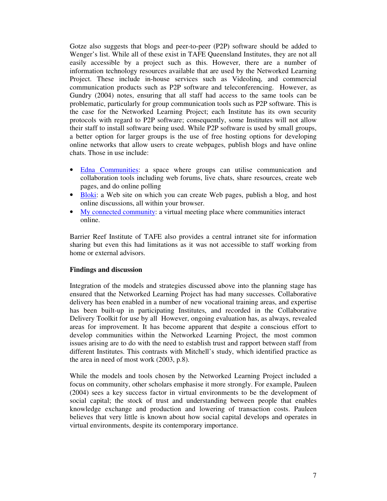Gotze also suggests that blogs and peer-to-peer (P2P) software should be added to Wenger's list. While all of these exist in TAFE Queensland Institutes, they are not all easily accessible by a project such as this. However, there are a number of information technology resources available that are used by the Networked Learning Project. These include in-house services such as Videolinq, and commercial communication products such as P2P software and teleconferencing. However, as Gundry (2004) notes, ensuring that all staff had access to the same tools can be problematic, particularly for group communication tools such as P2P software. This is the case for the Networked Learning Project; each Institute has its own security protocols with regard to P2P software; consequently, some Institutes will not allow their staff to install software being used. While P2P software is used by small groups, a better option for larger groups is the use of free hosting options for developing online networks that allow users to create webpages, publish blogs and have online chats. Those in use include:

- Edna Communities: a space where groups can utilise communication and collaboration tools including web forums, live chats, share resources, create web pages, and do online polling
- Bloki: a Web site on which you can create Web pages, publish a blog, and host online discussions, all within your browser.
- My connected community: a virtual meeting place where communities interact online.

Barrier Reef Institute of TAFE also provides a central intranet site for information sharing but even this had limitations as it was not accessible to staff working from home or external advisors.

### **Findings and discussion**

Integration of the models and strategies discussed above into the planning stage has ensured that the Networked Learning Project has had many successes. Collaborative delivery has been enabled in a number of new vocational training areas, and expertise has been built-up in participating Institutes, and recorded in the Collaborative Delivery Toolkit for use by all However, ongoing evaluation has, as always, revealed areas for improvement. It has become apparent that despite a conscious effort to develop communities within the Networked Learning Project, the most common issues arising are to do with the need to establish trust and rapport between staff from different Institutes. This contrasts with Mitchell's study, which identified practice as the area in need of most work (2003, p.8).

While the models and tools chosen by the Networked Learning Project included a focus on community, other scholars emphasise it more strongly. For example, Pauleen (2004) sees a key success factor in virtual environments to be the development of social capital; the stock of trust and understanding between people that enables knowledge exchange and production and lowering of transaction costs. Pauleen believes that very little is known about how social capital develops and operates in virtual environments, despite its contemporary importance.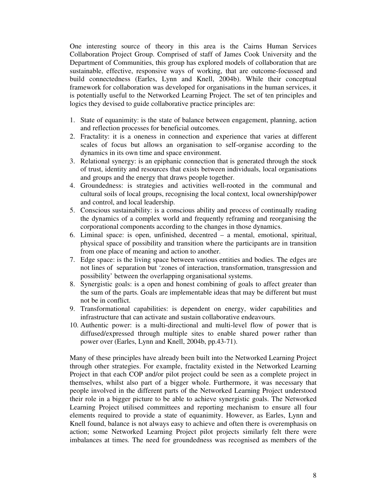One interesting source of theory in this area is the Cairns Human Services Collaboration Project Group. Comprised of staff of James Cook University and the Department of Communities, this group has explored models of collaboration that are sustainable, effective, responsive ways of working, that are outcome-focussed and build connectedness (Earles, Lynn and Knell, 2004b). While their conceptual framework for collaboration was developed for organisations in the human services, it is potentially useful to the Networked Learning Project. The set of ten principles and logics they devised to guide collaborative practice principles are:

- 1. State of equanimity: is the state of balance between engagement, planning, action and reflection processes for beneficial outcomes.
- 2. Fractality: it is a oneness in connection and experience that varies at different scales of focus but allows an organisation to self-organise according to the dynamics in its own time and space environment.
- 3. Relational synergy: is an epiphanic connection that is generated through the stock of trust, identity and resources that exists between individuals, local organisations and groups and the energy that draws people together.
- 4. Groundedness: is strategies and activities well-rooted in the communal and cultural soils of local groups, recognising the local context, local ownership/power and control, and local leadership.
- 5. Conscious sustainability: is a conscious ability and process of continually reading the dynamics of a complex world and frequently reframing and reorganising the corporational components according to the changes in those dynamics.
- 6. Liminal space: is open, unfinished, decentred a mental, emotional, spiritual, physical space of possibility and transition where the participants are in transition from one place of meaning and action to another.
- 7. Edge space: is the living space between various entities and bodies. The edges are not lines of separation but 'zones of interaction, transformation, transgression and possibility' between the overlapping organisational systems.
- 8. Synergistic goals: is a open and honest combining of goals to affect greater than the sum of the parts. Goals are implementable ideas that may be different but must not be in conflict.
- 9. Transformational capabilities: is dependent on energy, wider capabilities and infrastructure that can activate and sustain collaborative endeavours.
- 10. Authentic power: is a multi-directional and multi-level flow of power that is diffused/expressed through multiple sites to enable shared power rather than power over (Earles, Lynn and Knell, 2004b, pp.43-71).

Many of these principles have already been built into the Networked Learning Project through other strategies. For example, fractality existed in the Networked Learning Project in that each COP and/or pilot project could be seen as a complete project in themselves, whilst also part of a bigger whole. Furthermore, it was necessary that people involved in the different parts of the Networked Learning Project understood their role in a bigger picture to be able to achieve synergistic goals. The Networked Learning Project utilised committees and reporting mechanism to ensure all four elements required to provide a state of equanimity. However, as Earles, Lynn and Knell found, balance is not always easy to achieve and often there is overemphasis on action; some Networked Learning Project pilot projects similarly felt there were imbalances at times. The need for groundedness was recognised as members of the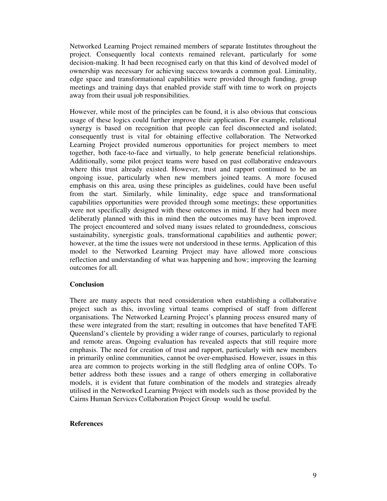Networked Learning Project remained members of separate Institutes throughout the project. Consequently local contexts remained relevant, particularly for some decision-making. It had been recognised early on that this kind of devolved model of ownership was necessary for achieving success towards a common goal. Liminality, edge space and transformational capabilities were provided through funding, group meetings and training days that enabled provide staff with time to work on projects away from their usual job responsibilities.

However, while most of the principles can be found, it is also obvious that conscious usage of these logics could further improve their application. For example, relational synergy is based on recognition that people can feel disconnected and isolated; consequently trust is vital for obtaining effective collaboration. The Networked Learning Project provided numerous opportunities for project members to meet together, both face-to-face and virtually, to help generate beneficial relationships. Additionally, some pilot project teams were based on past collaborative endeavours where this trust already existed. However, trust and rapport continued to be an ongoing issue, particularly when new members joined teams. A more focused emphasis on this area, using these principles as guidelines, could have been useful from the start. Similarly, while liminality, edge space and transformational capabilities opportunities were provided through some meetings; these opportunities were not specifically designed with these outcomes in mind. If they had been more deliberatly planned with this in mind then the outcomes may have been improved. The project encountered and solved many issues related to groundedness, conscious sustainability, synergistic goals, transformational capabilities and authentic power; however, at the time the issues were not understood in these terms. Application of this model to the Networked Learning Project may have allowed more conscious reflection and understanding of what was happening and how; improving the learning outcomes for all.

# **Conclusion**

There are many aspects that need consideration when establishing a collaborative project such as this, invovling virtual teams comprised of staff from different organisations. The Networked Learning Project's planning process ensured many of these were integrated from the start; resulting in outcomes that have benefited TAFE Queensland's clientele by providing a wider range of courses, particularly to regional and remote areas. Ongoing evaluation has revealed aspects that still require more emphasis. The need for creation of trust and rapport, particularly with new members in primarily online communities, cannot be over-emphasised. However, issues in this area are common to projects working in the still fledgling area of online COPs. To better address both these issues and a range of others emerging in collaborative models, it is evident that future combination of the models and strategies already utilised in the Networked Learning Project with models such as those provided by the Cairns Human Services Collaboration Project Group would be useful.

### **References**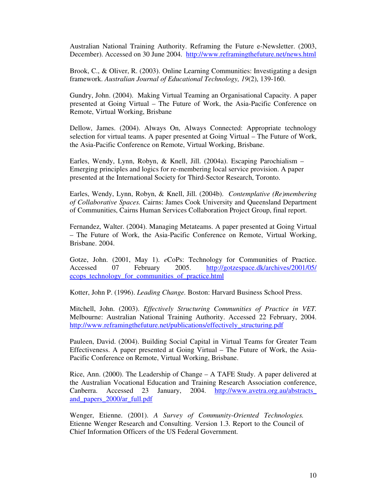Australian National Training Authority. Reframing the Future e-Newsletter. (2003, December). Accessed on 30 June 2004. http://www.reframingthefuture.net/news.html

Brook, C., & Oliver, R. (2003). Online Learning Communities: Investigating a design framework. *Australian Journal of Educational Technology, 19*(2), 139-160.

Gundry, John. (2004). Making Virtual Teaming an Organisational Capacity. A paper presented at Going Virtual – The Future of Work, the Asia-Pacific Conference on Remote, Virtual Working, Brisbane

Dellow, James. (2004). Always On, Always Connected: Appropriate technology selection for virtual teams. A paper presented at Going Virtual – The Future of Work, the Asia-Pacific Conference on Remote, Virtual Working, Brisbane.

Earles, Wendy, Lynn, Robyn, & Knell, Jill. (2004a). Escaping Parochialism – Emerging principles and logics for re-membering local service provision. A paper presented at the International Society for Third-Sector Research, Toronto.

Earles, Wendy, Lynn, Robyn, & Knell, Jill. (2004b). *Contemplative (Re)membering of Collaborative Spaces.* Cairns: James Cook University and Queensland Department of Communities, Cairns Human Services Collaboration Project Group, final report.

Fernandez, Walter. (2004). Managing Metateams. A paper presented at Going Virtual – The Future of Work, the Asia-Pacific Conference on Remote, Virtual Working, Brisbane. 2004.

Gotze, John. (2001, May 1). *e*CoPs: Technology for Communities of Practice. Accessed 07 February 2005. http://gotzespace.dk/archives/2001/05/ ecops\_technology\_for\_communities\_of\_practice.html

Kotter, John P. (1996). *Leading Change.* Boston: Harvard Business School Press.

Mitchell, John. (2003). *Effectively Structuring Communities of Practice in VET.* Melbourne: Australian National Training Authority. Accessed 22 February, 2004. http://www.reframingthefuture.net/publications/effectively\_structuring.pdf

Pauleen, David. (2004). Building Social Capital in Virtual Teams for Greater Team Effectiveness. A paper presented at Going Virtual – The Future of Work, the Asia-Pacific Conference on Remote, Virtual Working, Brisbane.

Rice, Ann. (2000). The Leadership of Change – A TAFE Study. A paper delivered at the Australian Vocational Education and Training Research Association conference, Canberra. Accessed 23 January, 2004. http://www.avetra.org.au/abstracts\_ and\_papers\_2000/ar\_full.pdf

Wenger, Etienne. (2001). *A Survey of Community-Oriented Technologies.* Etienne Wenger Research and Consulting. Version 1.3. Report to the Council of Chief Information Officers of the US Federal Government.